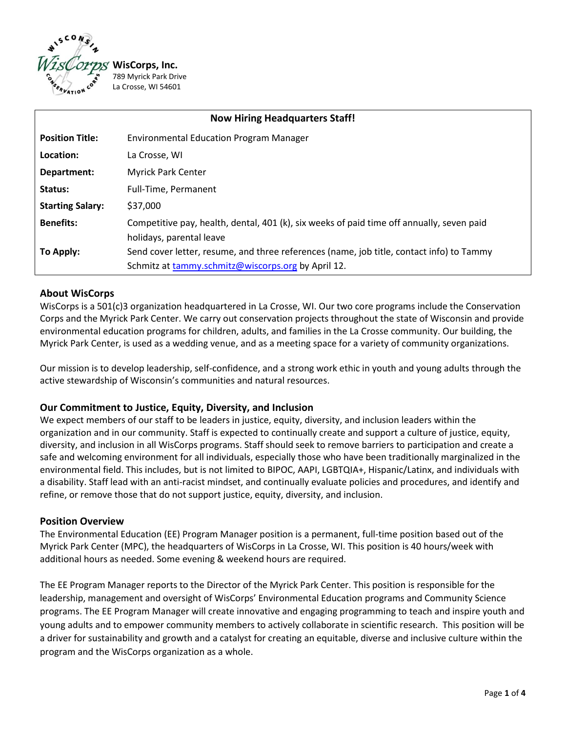

| <b>Now Hiring Headquarters Staff!</b> |                                                                                           |
|---------------------------------------|-------------------------------------------------------------------------------------------|
| <b>Position Title:</b>                | <b>Environmental Education Program Manager</b>                                            |
| Location:                             | La Crosse, WI                                                                             |
| Department:                           | <b>Myrick Park Center</b>                                                                 |
| Status:                               | Full-Time, Permanent                                                                      |
| <b>Starting Salary:</b>               | \$37,000                                                                                  |
| <b>Benefits:</b>                      | Competitive pay, health, dental, 401 (k), six weeks of paid time off annually, seven paid |
|                                       | holidays, parental leave                                                                  |
| To Apply:                             | Send cover letter, resume, and three references (name, job title, contact info) to Tammy  |
|                                       | Schmitz at tammy.schmitz@wiscorps.org by April 12.                                        |

### **About WisCorps**

WisCorps is a 501(c)3 organization headquartered in La Crosse, WI. Our two core programs include the Conservation Corps and the Myrick Park Center. We carry out conservation projects throughout the state of Wisconsin and provide environmental education programs for children, adults, and families in the La Crosse community. Our building, the Myrick Park Center, is used as a wedding venue, and as a meeting space for a variety of community organizations.

Our mission is to develop leadership, self-confidence, and a strong work ethic in youth and young adults through the active stewardship of Wisconsin's communities and natural resources.

### **Our Commitment to Justice, Equity, Diversity, and Inclusion**

We expect members of our staff to be leaders in justice, equity, diversity, and inclusion leaders within the organization and in our community. Staff is expected to continually create and support a culture of justice, equity, diversity, and inclusion in all WisCorps programs. Staff should seek to remove barriers to participation and create a safe and welcoming environment for all individuals, especially those who have been traditionally marginalized in the environmental field. This includes, but is not limited to BIPOC, AAPI, LGBTQIA+, Hispanic/Latinx, and individuals with a disability. Staff lead with an anti-racist mindset, and continually evaluate policies and procedures, and identify and refine, or remove those that do not support justice, equity, diversity, and inclusion.

### **Position Overview**

The Environmental Education (EE) Program Manager position is a permanent, full-time position based out of the Myrick Park Center (MPC), the headquarters of WisCorps in La Crosse, WI. This position is 40 hours/week with additional hours as needed. Some evening & weekend hours are required.

The EE Program Manager reports to the Director of the Myrick Park Center. This position is responsible for the leadership, management and oversight of WisCorps' Environmental Education programs and Community Science programs. The EE Program Manager will create innovative and engaging programming to teach and inspire youth and young adults and to empower community members to actively collaborate in scientific research. This position will be a driver for sustainability and growth and a catalyst for creating an equitable, diverse and inclusive culture within the program and the WisCorps organization as a whole.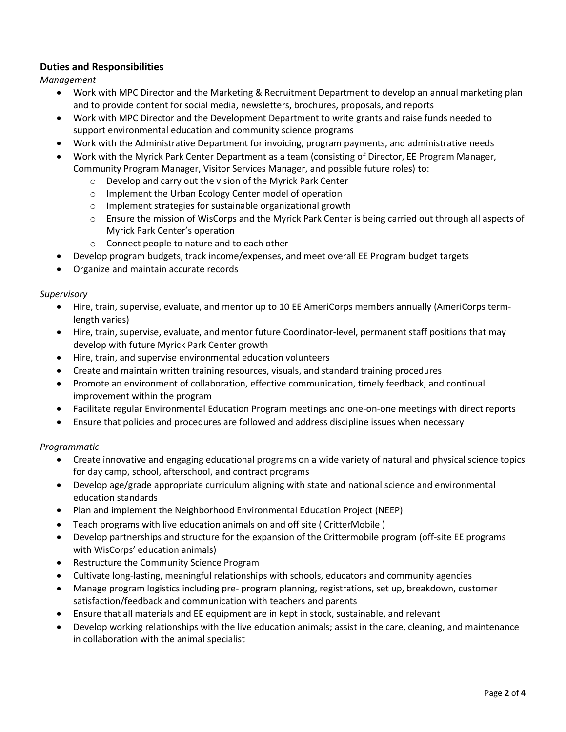# **Duties and Responsibilities**

*Management* 

- Work with MPC Director and the Marketing & Recruitment Department to develop an annual marketing plan and to provide content for social media, newsletters, brochures, proposals, and reports
- Work with MPC Director and the Development Department to write grants and raise funds needed to support environmental education and community science programs
- Work with the Administrative Department for invoicing, program payments, and administrative needs
- Work with the Myrick Park Center Department as a team (consisting of Director, EE Program Manager, Community Program Manager, Visitor Services Manager, and possible future roles) to:
	- o Develop and carry out the vision of the Myrick Park Center
	- o Implement the Urban Ecology Center model of operation
	- o Implement strategies for sustainable organizational growth
	- o Ensure the mission of WisCorps and the Myrick Park Center is being carried out through all aspects of Myrick Park Center's operation
	- o Connect people to nature and to each other
- Develop program budgets, track income/expenses, and meet overall EE Program budget targets
- Organize and maintain accurate records

### *Supervisory*

- Hire, train, supervise, evaluate, and mentor up to 10 EE AmeriCorps members annually (AmeriCorps termlength varies)
- Hire, train, supervise, evaluate, and mentor future Coordinator-level, permanent staff positions that may develop with future Myrick Park Center growth
- Hire, train, and supervise environmental education volunteers
- Create and maintain written training resources, visuals, and standard training procedures
- Promote an environment of collaboration, effective communication, timely feedback, and continual improvement within the program
- Facilitate regular Environmental Education Program meetings and one-on-one meetings with direct reports
- Ensure that policies and procedures are followed and address discipline issues when necessary

### *Programmatic*

- Create innovative and engaging educational programs on a wide variety of natural and physical science topics for day camp, school, afterschool, and contract programs
- Develop age/grade appropriate curriculum aligning with state and national science and environmental education standards
- Plan and implement the Neighborhood Environmental Education Project (NEEP)
- Teach programs with live education animals on and off site ( CritterMobile )
- Develop partnerships and structure for the expansion of the Crittermobile program (off-site EE programs with WisCorps' education animals)
- Restructure the Community Science Program
- Cultivate long-lasting, meaningful relationships with schools, educators and community agencies
- Manage program logistics including pre- program planning, registrations, set up, breakdown, customer satisfaction/feedback and communication with teachers and parents
- Ensure that all materials and EE equipment are in kept in stock, sustainable, and relevant
- Develop working relationships with the live education animals; assist in the care, cleaning, and maintenance in collaboration with the animal specialist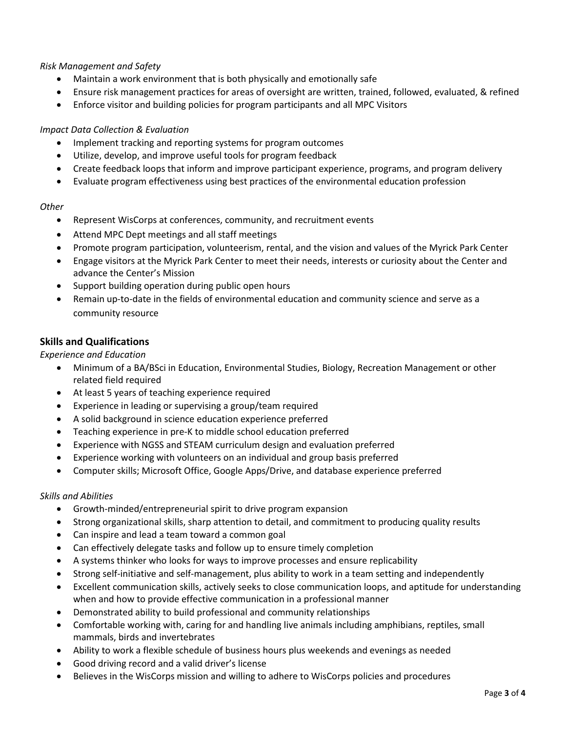### *Risk Management and Safety*

- Maintain a work environment that is both physically and emotionally safe
- Ensure risk management practices for areas of oversight are written, trained, followed, evaluated, & refined
- Enforce visitor and building policies for program participants and all MPC Visitors

### *Impact Data Collection & Evaluation*

- Implement tracking and reporting systems for program outcomes
- Utilize, develop, and improve useful tools for program feedback
- Create feedback loops that inform and improve participant experience, programs, and program delivery
- Evaluate program effectiveness using best practices of the environmental education profession

### *Other*

- Represent WisCorps at conferences, community, and recruitment events
- Attend MPC Dept meetings and all staff meetings
- Promote program participation, volunteerism, rental, and the vision and values of the Myrick Park Center
- Engage visitors at the Myrick Park Center to meet their needs, interests or curiosity about the Center and advance the Center's Mission
- Support building operation during public open hours
- Remain up-to-date in the fields of environmental education and community science and serve as a community resource

## **Skills and Qualifications**

*Experience and Education* 

- Minimum of a BA/BSci in Education, Environmental Studies, Biology, Recreation Management or other related field required
- At least 5 years of teaching experience required
- Experience in leading or supervising a group/team required
- A solid background in science education experience preferred
- Teaching experience in pre-K to middle school education preferred
- Experience with NGSS and STEAM curriculum design and evaluation preferred
- Experience working with volunteers on an individual and group basis preferred
- Computer skills; Microsoft Office, Google Apps/Drive, and database experience preferred

### *Skills and Abilities*

- Growth-minded/entrepreneurial spirit to drive program expansion
- Strong organizational skills, sharp attention to detail, and commitment to producing quality results
- Can inspire and lead a team toward a common goal
- Can effectively delegate tasks and follow up to ensure timely completion
- A systems thinker who looks for ways to improve processes and ensure replicability
- Strong self-initiative and self-management, plus ability to work in a team setting and independently
- Excellent communication skills, actively seeks to close communication loops, and aptitude for understanding when and how to provide effective communication in a professional manner
- Demonstrated ability to build professional and community relationships
- Comfortable working with, caring for and handling live animals including amphibians, reptiles, small mammals, birds and invertebrates
- Ability to work a flexible schedule of business hours plus weekends and evenings as needed
- Good driving record and a valid driver's license
- Believes in the WisCorps mission and willing to adhere to WisCorps policies and procedures